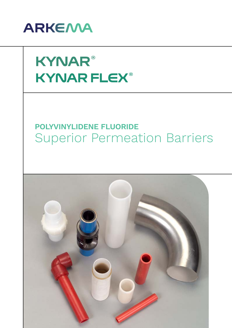

# **KYNAR® KYNAR FLEX®**

## **POLYVINYLIDENE FLUORIDE** Superior Permeation Barriers

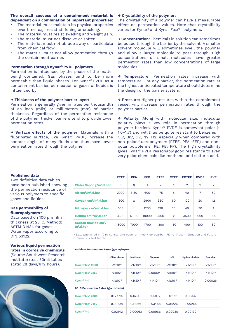#### **The overall success of a containment material is dependent on a combination of important properties:**

- The material must maintain its physical properties over time, e.g., resist stiffening or cracking.
- The material must resist swelling and weight gain.
- The material must not dissolve or soften.
- The material must not abrade away or particulate from chemical flow.
- The material must not allow permeation through the containment barrier.

#### **Permeation through Kynar® PVDF polymers**

Permeation is influenced by the phase of the matter being contained. Gas phases tend to be more permeable than liquid phases. For Kynar® PVDF as a containment barrier, permeation of gases or liquids is influenced by:

#### **→ Thickness of the polymer barrier layer:**

Permeation is generally given in rates per thousandth of an inch (mils) or millimeters (mm) of barrier thickness. Regardless of the permeation resistance of the polymer, thicker barriers tend to provide lower permeation rates.

**→ Surface effects of the polymer:** Materials with a fluorinated surface, like Kynar® PVDF, increase the contact angle of many fluids and thus have lower permeation rates through the polymer.

### **→ Crystallinity of the polymer:**

The crystallinity of a polymer can have a measurable effect on permeation values. Note that crystallinity varies for Kynar® and Kynar Flex® polymers.

**→ Concentration:** Chemicals in solution can sometimes be pulled through the barrier by the solvent. A smaller solvent molecule will sometimes swell the polymer and allow a larger molecule to pass through. High concentrations of small molecules have greater permeation rates than low concentrations of large molecules.

**→ Temperature:** Permeation rates increase with temperature. For any barrier, the permeation rate at the highest anticipated temperature should determine the design of the barrier system.

**→ Pressure:** Higher pressures within the containment vessel will increase permeation rates through the polymer barrier.

**→ Polarity:** Along with molecular size, molecular polarity plays a key role in permeation through polymer barriers. Kynar® PVDF is somewhat polar (~ 1.0–1.7) and will thus be quite resistant to benzene, Cl2, Br2, O2, N2, H2, especially when compared with non-polar fluoropolymers (PTFE, PFA, FEP) and nonpolar polyolefins (PE, PB, PP). The high crystallinity gives Kynar® PVDF reasonably good resistance to even very polar chemicals like methanol and sulfuric acid.

#### **Published data**

Two definitive data tables have been published showing the permeation resistance of various polymers to specific gases and liquids.

#### **Gas permeability of fluoropolymers\***

Data based on 100 μm film thickness at 23°C. Method: ASTM D1434 for gases. Water vapor according to DIN 53122.

#### **Various liquid permeation rates in corrosive chemicals** (Source Southwest Research Institute) (test 30mil tubes

static 28 days/672 hours).



|                                                       | <b>PTFE</b> | <b>PFA</b>   | <b>FEP</b> | <b>ETFE</b>    | <b>CTFE</b>  | <b>ECTFE</b>   | <b>PVDF</b>    | <b>PVF</b>     |
|-------------------------------------------------------|-------------|--------------|------------|----------------|--------------|----------------|----------------|----------------|
| Water Vapor g/m <sup>2</sup> .d.bar                   | 5           | 8            | 1          | $\overline{2}$ | 1            | $\overline{2}$ | $\overline{2}$ | $\overline{7}$ |
| Air $cm3/m2$ .d.bar                                   | 2000        | 1150         | 600        | 175            | $\mathsf{x}$ | 40             | $\overline{7}$ | 50             |
| Oxygen cm <sup>3</sup> /m <sup>2</sup> .d.bar         | 1500        | $\mathsf{x}$ | 2900       | 350            | 60           | 100            | 20             | 12             |
| Nitrogen $cm3/m2$ .d.bar                              | 500         | $\mathsf{x}$ | 1200       | 120            | 10           | 40             | 30             | 1              |
| Helium $cm3/m2$ .d.bar                                | 3500        | 17000        | 18000      | 3700           | $\mathsf{x}$ | 3500           | 600            | 300            |
| <b>Carbon Dioxide cm<sup>3</sup>/</b><br>$m^2$ .d.bar | 15000       | 7000         | 4700       | 1300           | 150          | 400            | 100            | 60             |

\* Data published in 1980 Kunststoffe paper entitled Fluorocarbon Films–Present Situation and Future Outlook. x = Not tested

#### **Ambient Permeation Rates (g-cm/hr/m)**

|                                    | Chloroform    | <b>Methanol</b> | <b>Toluene</b> | <b>HCL</b>    | <b>Hydrochloride</b> | <b>Bromine</b> |
|------------------------------------|---------------|-----------------|----------------|---------------|----------------------|----------------|
| <b>Kynar Flex<sup>®</sup> 2800</b> | $< 1x10^{-5}$ | $< 1x10^{-5}$   | $< 1x10^{-5}$  | $< 1x10^{-5}$ | $< 1x10^{-5}$        | $< 1x10^{-5}$  |
| <b>Kynar Flex<sup>®</sup> 2850</b> | $< 1x10^{-5}$ | $< 1x10^{-5}$   | 0.00004        | $< 1x10^{-5}$ | $< 1x10^{-5}$        | $< 1x10^{-5}$  |
| Kynar <sup>®</sup> 740             | $< 1x10^{-5}$ | $< 1x10^{-5}$   | $< 1x10^{-5}$  | $< 1x10^{-5}$ | $< 1x10^{-5}$        | 0.00026        |
| 66 C Permeation Rates (g-cm/hr/m)  |               |                 |                |               |                      |                |
| <b>Kynar Flex<sup>®</sup> 2800</b> | 0.177716      | 0.16340         | 0.05972        | 0.01621       | 0.00347              |                |
| <b>Kynar Flex<sup>®</sup> 2850</b> | 0.09386       | 0.11966         | 0.03488        | 0.01226       | 0.00258              |                |
| Kynar <sup>®</sup> 740             | 0.02142       | 0.00063         | 0.00966        | 0.02930       | 0.00170              |                |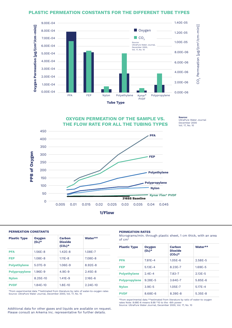#### **PLASTIC PERMEATION CONSTANTS FOR THE DIFFERENT TUBE TYPES**



**OXYGEN PERMEATION OF THE SAMPLE VS. THE FLOW RATE FOR ALL THE TUBING TYPES**



#### **PERMEATION CONSTANTS**

| <b>Plastic Type</b>  | <b>Oxygen</b><br>$(0_2)^*$ | Carbon<br><b>Dioxide</b><br>$(CO_2)^*$ | Water**      |
|----------------------|----------------------------|----------------------------------------|--------------|
| <b>PFA</b>           | $1.56E - 8$                | $1.42F - 8$                            | 1.08E-7      |
| <b>FEP</b>           | $1.08F - 8$                | $1.11E - 8$                            | 7.08F-8      |
| <b>Polyethylene</b>  | $5.07F - 9$                | $1.06E - 9$                            | 8.92F-8      |
| <b>Polypropylene</b> | $1.96F-9$                  | $4.9F-9$                               | $2.45F - 8$  |
| <b>Nylon</b>         | 8.25E-10                   | $1.41E - 9$                            | $2.16E - 6$  |
| <b>PVDF</b>          | $1.84E - 10$               | $1.8E - 10$                            | $2.24E - 10$ |
|                      |                            |                                        |              |

\*from experimental data \*\*estimated from literature by ratio of water-to-oxygen rates Source: UltraPure Water Journal, December 2000, Vol. 17, No. 10

#### **PERMEATION RATES**

Micrograms/min. through plastic sheet, 1 cm thick, with an area of cm2

**Source:** 

UltraPure Water Journal December 2000 Vol. 17, No. 10

| <b>Plastic Type</b>  | <b>Oxygen</b><br>$(0_2)^*$ | Carbon<br><b>Dioxide</b><br>$(CO_2)^*$ | Water**     |
|----------------------|----------------------------|----------------------------------------|-------------|
| <b>PFA</b>           | $7.81E - 4$                | $1.05E-6$                              | $2.58E - 5$ |
| <b>FEP</b>           | $5.13E - 4$                | 8.23E-7                                | $1.69E - 5$ |
| <b>Polyethylene</b>  | $2.4F - 4$                 | $7.83 - 7$                             | $2.13E - 5$ |
| <b>Polypropylene</b> | $9.28F - 5$                | $3.64E - 7$                            | $5.85F - 6$ |
| <b>Nylon</b>         | $3.9E - 5$                 | $1.05E - 7$                            | $5.17E - 4$ |
| <b>PVDF</b>          | 8.68E-6                    | 8.39E-8                                | $5.35E - 8$ |

\*from experimental data \*\*estimated from literature by ratio of water-to oxygen rates Note: 8.68E-6 means 8.68 \*10 to the -6th power Source: UltraPure Water Journal, December 2000, Vol. 17, No. 10

Additional data for other gases and liquids are available on request. Please consult an Arkema Inc. representative for further details.